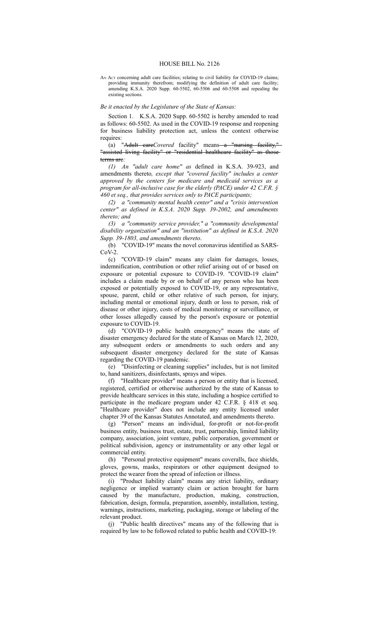## HOUSE BILL No. 2126

AN Act concerning adult care facilities; relating to civil liability for COVID-19 claims; providing immunity therefrom; modifying the definition of adult care facility; amending K.S.A. 2020 Supp. 60-5502, 60-5506 and 60-5508 and repealing the existing sections.

## *Be it enacted by the Legislature of the State of Kansas:*

Section 1. K.S.A. 2020 Supp. 60-5502 is hereby amended to read as follows: 60-5502. As used in the COVID-19 response and reopening for business liability protection act, unless the context otherwise requires:

(a) "Adult careCovered facility" means a "nursing facility," "assisted living facility" or "residential healtheare facility" as thoseterms are*:*

*(1) An "adult care home" as* defined in K.S.A. 39-923, and amendments thereto*, except that "covered facility" includes a center approved by the centers for medicare and medicaid services as a program for all-inclusive case for the elderly (PACE) under 42 C.F.R. § 460 et seq., that provides services only to PACE participants;*

*(2) a "community mental health center" and a "crisis intervention center" as defined in K.S.A. 2020 Supp. 39-2002, and amendments thereto; and*

*(3) a "community service provider," a "community developmental disability organization" and an "institution" as defined in K.S.A. 2020 Supp. 39-1803, and amendments thereto*.

(b) "COVID-19" means the novel coronavirus identified as SARS- $C_0V-2$ 

(c) "COVID-19 claim" means any claim for damages, losses, indemnification, contribution or other relief arising out of or based on exposure or potential exposure to COVID-19. "COVID-19 claim" includes a claim made by or on behalf of any person who has been exposed or potentially exposed to COVID-19, or any representative, spouse, parent, child or other relative of such person, for injury, including mental or emotional injury, death or loss to person, risk of disease or other injury, costs of medical monitoring or surveillance, or other losses allegedly caused by the person's exposure or potential exposure to COVID-19.

(d) "COVID-19 public health emergency" means the state of disaster emergency declared for the state of Kansas on March 12, 2020, any subsequent orders or amendments to such orders and any subsequent disaster emergency declared for the state of Kansas regarding the COVID-19 pandemic.

(e) "Disinfecting or cleaning supplies" includes, but is not limited to, hand sanitizers, disinfectants, sprays and wipes.

(f) "Healthcare provider" means a person or entity that is licensed, registered, certified or otherwise authorized by the state of Kansas to provide healthcare services in this state, including a hospice certified to participate in the medicare program under 42 C.F.R. § 418 et seq. "Healthcare provider" does not include any entity licensed under chapter 39 of the Kansas Statutes Annotated, and amendments thereto.

(g) "Person" means an individual, for-profit or not-for-profit business entity, business trust, estate, trust, partnership, limited liability company, association, joint venture, public corporation, government or political subdivision, agency or instrumentality or any other legal or commercial entity.

(h) "Personal protective equipment" means coveralls, face shields, gloves, gowns, masks, respirators or other equipment designed to protect the wearer from the spread of infection or illness.

(i) "Product liability claim" means any strict liability, ordinary negligence or implied warranty claim or action brought for harm caused by the manufacture, production, making, construction, fabrication, design, formula, preparation, assembly, installation, testing, warnings, instructions, marketing, packaging, storage or labeling of the relevant product.

(j) "Public health directives" means any of the following that is required by law to be followed related to public health and COVID-19: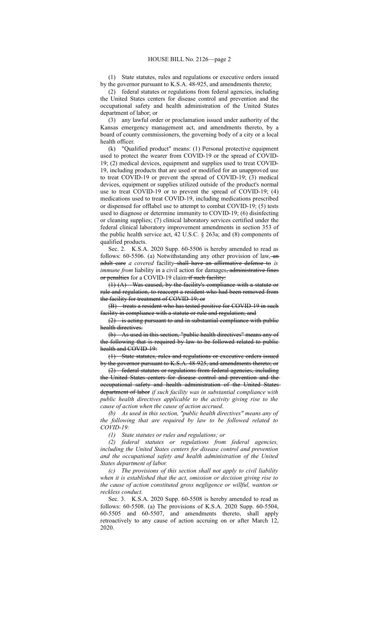(1) State statutes, rules and regulations or executive orders issued by the governor pursuant to K.S.A. 48-925, and amendments thereto;

(2) federal statutes or regulations from federal agencies, including the United States centers for disease control and prevention and the occupational safety and health administration of the United States department of labor; or

(3) any lawful order or proclamation issued under authority of the Kansas emergency management act, and amendments thereto, by a board of county commissioners, the governing body of a city or a local health officer.

(k) "Qualified product" means: (1) Personal protective equipment used to protect the wearer from COVID-19 or the spread of COVID-19; (2) medical devices, equipment and supplies used to treat COVID-19, including products that are used or modified for an unapproved use to treat COVID-19 or prevent the spread of COVID-19; (3) medical devices, equipment or supplies utilized outside of the product's normal use to treat COVID-19 or to prevent the spread of COVID-19; (4) medications used to treat COVID-19, including medications prescribed or dispensed for offlabel use to attempt to combat COVID-19; (5) tests used to diagnose or determine immunity to COVID-19; (6) disinfecting or cleaning supplies; (7) clinical laboratory services certified under the federal clinical laboratory improvement amendments in section 353 of the public health service act, 42 U.S.C. § 263a; and (8) components of qualified products.

Sec. 2. K.S.A. 2020 Supp. 60-5506 is hereby amended to read as follows: 60-5506. (a) Notwithstanding any other provision of law, an adult care *a covered* facility shall have an affirmative defense to *is immune from* liability in a civil action for damages<del>, administrative fines</del> or penalties for a COVID-19 claim if such facility:

(1) (A) Was caused, by the facility's compliance with a statute or rule and regulation, to reaccept a resident who had been removed from the facility for treatment of COVID-19; or

(B) treats a resident who has tested positive for COVID-19 in such facility in compliance with a statute or rule and regulation; and

(2) is acting pursuant to and in substantial compliance with public health directives.

(b) As used in this section, "public health directives" means any of the following that is required by law to be followed related to public health and COVID-19:

(1) State statutes, rules and regulations or executive orders issued by the governor pursuant to K.S.A. 48-925, and amendments thereto; or

(2) federal statutes or regulations from federal agencies, including the United States centers for disease control and prevention and the occupational safety and health administration of the United States department of labor *if such facility was in substantial compliance with public health directives applicable to the activity giving rise to the cause of action when the cause of action accrued*.

*(b) As used in this section, "public health directives" means any of the following that are required by law to be followed related to COVID-19:*

*(1) State statutes or rules and regulations; or*

*(2) federal statutes or regulations from federal agencies, including the United States centers for disease control and prevention and the occupational safety and health administration of the United States department of labor.*

*(c) The provisions of this section shall not apply to civil liability when it is established that the act, omission or decision giving rise to the cause of action constituted gross negligence or willful, wanton or reckless conduct.*

Sec. 3. K.S.A. 2020 Supp. 60-5508 is hereby amended to read as follows: 60-5508. (a) The provisions of K.S.A. 2020 Supp. 60-5504, 60-5505 and 60-5507, and amendments thereto, shall apply retroactively to any cause of action accruing on or after March 12, 2020.